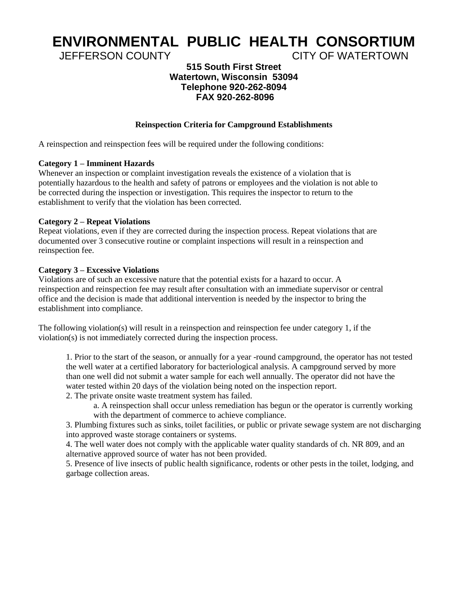# **ENVIRONMENTAL PUBLIC HEALTH CONSORTIUM**

JEFFERSON COUNTY CITY OF WATERTOWN

## **515 South First Street Watertown, Wisconsin 53094 Telephone 920-262-8094 FAX 920-262-8096**

## **Reinspection Criteria for Campground Establishments**

A reinspection and reinspection fees will be required under the following conditions:

#### **Category 1 – Imminent Hazards**

Whenever an inspection or complaint investigation reveals the existence of a violation that is potentially hazardous to the health and safety of patrons or employees and the violation is not able to be corrected during the inspection or investigation. This requires the inspector to return to the establishment to verify that the violation has been corrected.

#### **Category 2 – Repeat Violations**

Repeat violations, even if they are corrected during the inspection process. Repeat violations that are documented over 3 consecutive routine or complaint inspections will result in a reinspection and reinspection fee.

#### **Category 3 – Excessive Violations**

Violations are of such an excessive nature that the potential exists for a hazard to occur. A reinspection and reinspection fee may result after consultation with an immediate supervisor or central office and the decision is made that additional intervention is needed by the inspector to bring the establishment into compliance.

The following violation(s) will result in a reinspection and reinspection fee under category 1, if the violation(s) is not immediately corrected during the inspection process.

1. Prior to the start of the season, or annually for a year -round campground, the operator has not tested the well water at a certified laboratory for bacteriological analysis. A campground served by more than one well did not submit a water sample for each well annually. The operator did not have the water tested within 20 days of the violation being noted on the inspection report.

2. The private onsite waste treatment system has failed.

a. A reinspection shall occur unless remediation has begun or the operator is currently working with the department of commerce to achieve compliance.

3. Plumbing fixtures such as sinks, toilet facilities, or public or private sewage system are not discharging into approved waste storage containers or systems.

4. The well water does not comply with the applicable water quality standards of ch. NR 809, and an alternative approved source of water has not been provided.

5. Presence of live insects of public health significance, rodents or other pests in the toilet, lodging, and garbage collection areas.